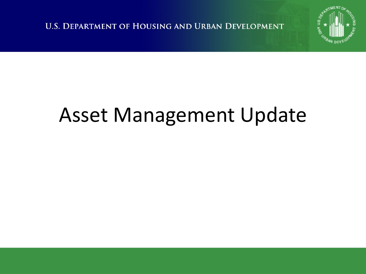**U.S. DEPARTMENT OF HOUSING AND URBAN DEVELOPMENT** 



#### Asset Management Update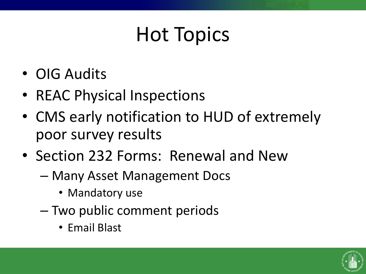# Hot Topics

- OIG Audits
- REAC Physical Inspections
- CMS early notification to HUD of extremely poor survey results
- Section 232 Forms: Renewal and New
	- Many Asset Management Docs
		- Mandatory use
	- Two public comment periods
		- Email Blast

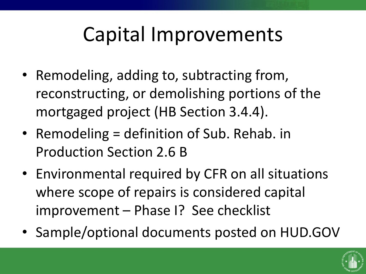### Capital Improvements

- Remodeling, adding to, subtracting from, reconstructing, or demolishing portions of the mortgaged project (HB Section 3.4.4).
- Remodeling = definition of Sub. Rehab. in Production Section 2.6 B
- Environmental required by CFR on all situations where scope of repairs is considered capital improvement – Phase I? See checklist
- Sample/optional documents posted on HUD.GOV

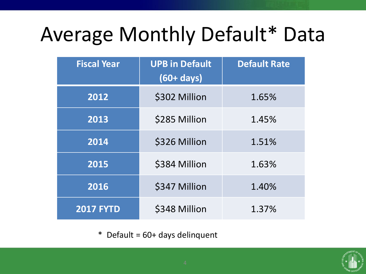# Average Monthly Default\* Data

| <b>Fiscal Year</b> | <b>UPB in Default</b><br>$(60 + days)$ | <b>Default Rate</b> |
|--------------------|----------------------------------------|---------------------|
| 2012               | \$302 Million                          | 1.65%               |
| 2013               | \$285 Million                          | 1.45%               |
| 2014               | \$326 Million                          | 1.51%               |
| 2015               | \$384 Million                          | 1.63%               |
| 2016               | \$347 Million                          | 1.40%               |
| <b>2017 FYTD</b>   | \$348 Million                          | 1.37%               |

\* Default = 60+ days delinquent

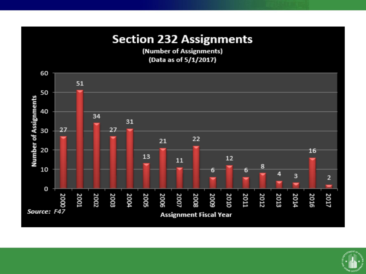#### **Section 232 Assignments**

(Number of Assignments) (Data as of 5/1/2017)



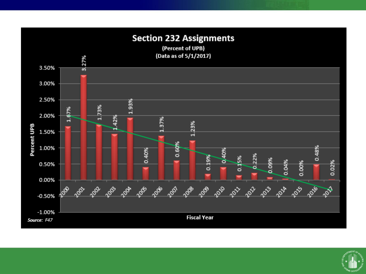

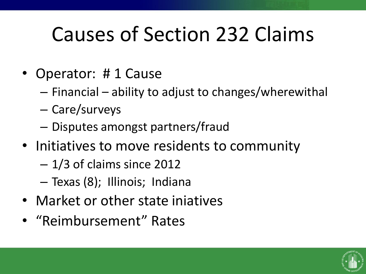# Causes of Section 232 Claims

- Operator: # 1 Cause
	- Financial ability to adjust to changes/wherewithal
	- Care/surveys
	- Disputes amongst partners/fraud
- Initiatives to move residents to community
	- 1/3 of claims since 2012
	- Texas (8); Illinois; Indiana
- Market or other state iniatives
- "Reimbursement" Rates